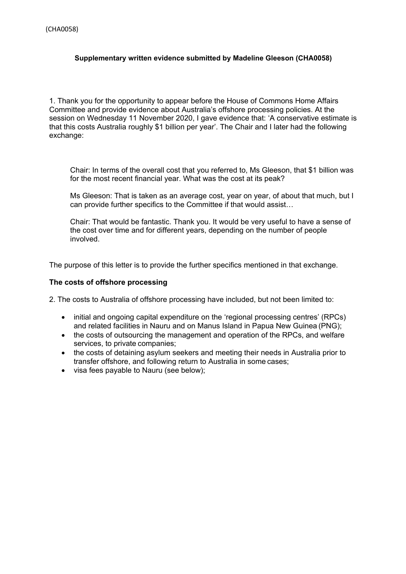# **Supplementary written evidence submitted by Madeline Gleeson (CHA0058)**

1. Thank you for the opportunity to appear before the House of Commons Home Affairs Committee and provide evidence about Australia's offshore processing policies. At the session on Wednesday 11 November 2020, I gave evidence that: 'A conservative estimate is that this costs Australia roughly \$1 billion per year'. The Chair and I later had the following exchange:

Chair: In terms of the overall cost that you referred to, Ms Gleeson, that \$1 billion was for the most recent financial year. What was the cost at its peak?

Ms Gleeson: That is taken as an average cost, year on year, of about that much, but I can provide further specifics to the Committee if that would assist…

Chair: That would be fantastic. Thank you. It would be very useful to have a sense of the cost over time and for different years, depending on the number of people involved.

The purpose of this letter is to provide the further specifics mentioned in that exchange.

#### **The costs of offshore processing**

2. The costs to Australia of offshore processing have included, but not been limited to:

- initial and ongoing capital expenditure on the 'regional processing centres' (RPCs) and related facilities in Nauru and on Manus Island in Papua New Guinea (PNG);
- the costs of outsourcing the management and operation of the RPCs, and welfare services, to private companies;
- the costs of detaining asylum seekers and meeting their needs in Australia prior to transfer offshore, and following return to Australia in some cases;
- visa fees payable to Nauru (see below);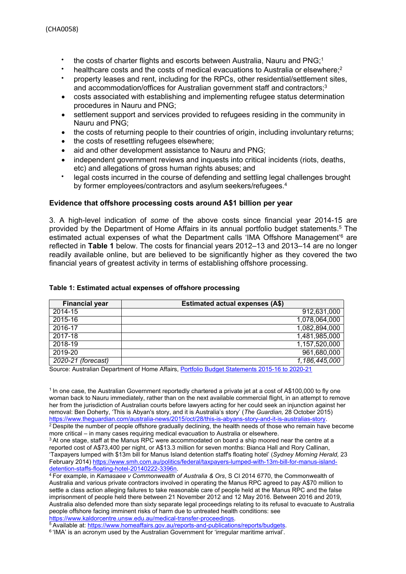- $\bullet$ the costs of charter flights and escorts between Australia, Nauru and PNG;<sup>1</sup>
- healthcare costs and the costs of medical evacuations to Australia or elsewhere;<sup>2</sup>
- property leases and rent, including for the RPCs, other residential/settlement sites, and accommodation/offices for Australian government staff and contractors;<sup>3</sup>
- costs associated with establishing and implementing refugee status determination procedures in Nauru and PNG;
- settlement support and services provided to refugees residing in the community in Nauru and PNG;
- the costs of returning people to their countries of origin, including involuntary returns;
- the costs of resettling refugees elsewhere:
- aid and other development assistance to Nauru and PNG;
- independent government reviews and inquests into critical incidents (riots, deaths, etc) and allegations of gross human rights abuses; and
- $\bullet$ legal costs incurred in the course of defending and settling legal challenges brought by former employees/contractors and asylum seekers/refugees.<sup>4</sup>

## **Evidence that offshore processing costs around A\$1 billion per year**

3. A high-level indication of *some* of the above costs since financial year 2014-15 are provided by the Department of Home Affairs in its annual portfolio budget statements.<sup>5</sup> The estimated actual expenses of what the Department calls 'IMA Offshore Management'<sup>6</sup> are reflected in **Table 1** below. The costs for financial years 2012–13 and 2013–14 are no longer readily available online, but are believed to be significantly higher as they covered the two financial years of greatest activity in terms of establishing offshore processing.

| <b>Financial year</b> | Estimated actual expenses (A\$) |
|-----------------------|---------------------------------|
| 2014-15               | 912,631,000                     |
| 2015-16               | 1,078,064,000                   |
| 2016-17               | 1,082,894,000                   |
| 2017-18               | 1,481,985,000                   |
| 2018-19               | 1,157,520,000                   |
| 2019-20               | 961,680,000                     |
| 2020-21 (forecast)    | 1,186,445,000                   |

#### **Table 1: Estimated actual expenses of offshore processing**

Source: Australian Department of Home Affairs, Portfolio Budget Statements 2015-16 to 2020-21

<sup>1</sup> In one case, the Australian Government reportedly chartered a private jet at a cost of A\$100,000 to fly one woman back to Nauru immediately, rather than on the next available commercial flight, in an attempt to remove her from the jurisdiction of Australian courts before lawyers acting for her could seek an injunction against her removal: Ben Doherty, 'This is Abyan's story, and it is Australia's story' (*The Guardian,* 28 October 2015) https:/[/www.theguardian.com/australia-news/2015/oct/28/this-is-abyans-story-and-it-is-australias-story.](http://www.theguardian.com/australia-news/2015/oct/28/this-is-abyans-story-and-it-is-australias-story) <sup>2</sup> Despite the number of people offshore gradually declining, the health needs of those who remain have become

<sup>4</sup> For example, in *Kamasaee v Commonwealth of Australia & Ors*, S CI 2014 6770, the Commonwealth of Australia and various private contractors involved in operating the Manus RPC agreed to pay A\$70 million to settle a class action alleging failures to take reasonable care of people held at the Manus RPC and the false imprisonment of people held there between 21 November 2012 and 12 May 2016. Between 2016 and 2019, Australia also defended more than sixty separate legal proceedings relating to its refusal to evacuate to Australia people offshore facing imminent risks of harm due to untreated health conditions: see https:/[/www.kaldorcentre.unsw.edu.au/medical-transfer-proceedings.](http://www.kaldorcentre.unsw.edu.au/medical-transfer-proceedings)

5 Available at: https://[www.homeaffairs.gov.au/reports-and-publications/reports/budgets.](http://www.homeaffairs.gov.au/reports-and-publications/reports/budgets)

<sup>6</sup> 'IMA' is an acronym used by the Australian Government for 'irregular maritime arrival'.

more critical – in many cases requiring medical evacuation to Australia or elsewhere.

<sup>&</sup>lt;sup>3</sup> At one stage, staff at the Manus RPC were accommodated on board a ship moored near the centre at a reported cost of A\$73,400 per night, or A\$13.3 million for seven months: Bianca Hall and Rory Callinan, 'Taxpayers lumped with \$13m bill for Manus Island detention staff's floating hotel' (*Sydney Morning Herald,* 23 February 2014) https:/[/www.smh.com.au/politics/federal/taxpayers-lumped-with-13m-bill-for-manus-island](http://www.smh.com.au/politics/federal/taxpayers-lumped-with-13m-bill-for-manus-island-)detention-staffs-floating-hotel-20140222-3396n.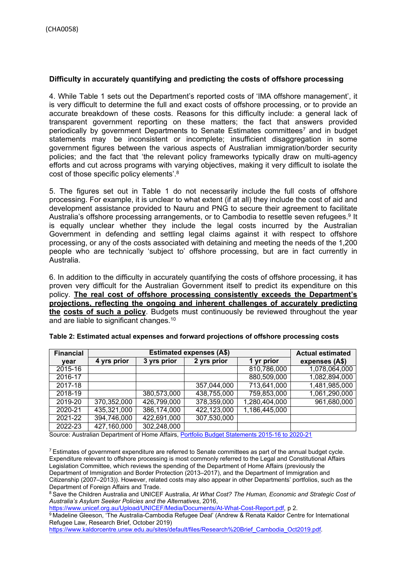# **Difficulty in accurately quantifying and predicting the costs of offshore processing**

4. While Table 1 sets out the Department's reported costs of 'IMA offshore management', it is very difficult to determine the full and exact costs of offshore processing, or to provide an accurate breakdown of these costs. Reasons for this difficulty include: a general lack of transparent government reporting on these matters; the fact that answers provided periodically by government Departments to Senate Estimates committees<sup>7</sup> and in budget statements may be inconsistent or incomplete; insufficient disaggregation in some government figures between the various aspects of Australian immigration/border security policies; and the fact that 'the relevant policy frameworks typically draw on multi-agency efforts and cut across programs with varying objectives, making it very difficult to isolate the cost of those specific policy elements'.<sup>8</sup>

5. The figures set out in Table 1 do not necessarily include the full costs of offshore processing. For example, it is unclear to what extent (if at all) they include the cost of aid and development assistance provided to Nauru and PNG to secure their agreement to facilitate Australia's offshore processing arrangements, or to Cambodia to resettle seven refugees.<sup>9</sup> It is equally unclear whether they include the legal costs incurred by the Australian Government in defending and settling legal claims against it with respect to offshore processing, or any of the costs associated with detaining and meeting the needs of the 1,200 people who are technically 'subject to' offshore processing, but are in fact currently in Australia.

6. In addition to the difficulty in accurately quantifying the costs of offshore processing, it has proven very difficult for the Australian Government itself to predict its expenditure on this policy. **The real cost of offshore processing consistently exceeds the Department's projections, reflecting the ongoing and inherent challenges of accurately predicting the costs of such a policy**. Budgets must continuously be reviewed throughout the year and are liable to significant changes.<sup>10</sup>

| <b>Financial</b> |             | <b>Actual estimated</b> |             |               |                |
|------------------|-------------|-------------------------|-------------|---------------|----------------|
| vear             | 4 yrs prior | 3 yrs prior             | 2 yrs prior | 1 yr prior    | expenses (A\$) |
| 2015-16          |             |                         |             | 810,786,000   | 1,078,064,000  |
| 2016-17          |             |                         |             | 880,509,000   | 1,082,894,000  |
| 2017-18          |             |                         | 357,044,000 | 713,641,000   | 1,481,985,000  |
| 2018-19          |             | 380,573,000             | 438,755,000 | 759,853,000   | 1,061,290,000  |
| 2019-20          | 370,352,000 | 426,799,000             | 378,359,000 | 1,280,404,000 | 961,680,000    |
| 2020-21          | 435,321,000 | 386,174,000             | 422,123,000 | 1,186,445,000 |                |
| 2021-22          | 394,746,000 | 422,691,000             | 307,530,000 |               |                |
| 2022-23          | 427,160,000 | 302,248,000             |             |               |                |

**Table 2: Estimated actual expenses and forward projections of offshore processing costs**

Source: Australian Department of Home Affairs, Portfolio Budget Statements 2015-16 to 2020-21

<sup>7</sup> Estimates of government expenditure are referred to Senate committees as part of the annual budget cycle. Expenditure relevant to offshore processing is most commonly referred to the Legal and Constitutional Affairs Legislation Committee, which reviews the spending of the Department of Home Affairs (previously the Department of Immigration and Border Protection (2013–2017), and the Department of Immigration and Citizenship (2007–2013)). However, related costs may also appear in other Departments' portfolios, such as the Department of Foreign Affairs and Trade.

<sup>8</sup> Save the Children Australia and UNICEF Australia, *At What Cost? The Human, Economic and Strategic Cost of Australia's Asylum Seeker Policies and the Alternatives*, 2016,

https:/[/www.unicef.org.au/Upload/UNICEF/Media/Documents/At-What-Cost-Report.pdf,](http://www.unicef.org.au/Upload/UNICEF/Media/Documents/At-What-Cost-Report.pdf) [p](http://www.unicef.org.au/Upload/UNICEF/Media/Documents/At-What-Cost-Report.pdf) 2.

<sup>9</sup> Madeline Gleeson, 'The Australia-Cambodia Refugee Deal' (Andrew & Renata Kaldor Centre for International Refugee Law, Research Brief, October 2019)

https:/[/www.kaldorcentre.unsw.edu.au/sites/default/files/Research%20Brief\\_Cambodia\\_Oct2019.pdf.](http://www.kaldorcentre.unsw.edu.au/sites/default/files/Research%20Brief_Cambodia_Oct2019.pdf)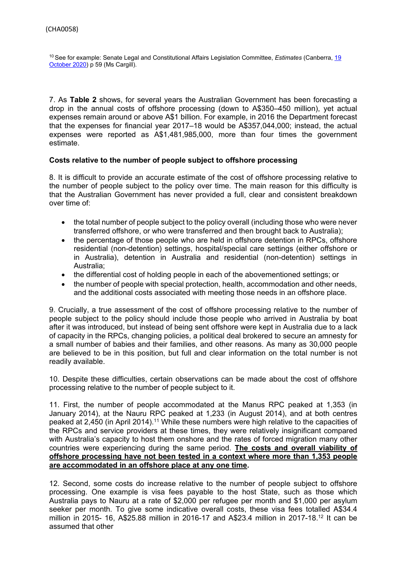<sup>10</sup> See for example: Senate Legal and Constitutional Affairs Legislation Committee, *Estimates* (Canberra, 19 October 2020) p 59 (Ms Cargill).

7. As **Table 2** shows, for several years the Australian Government has been forecasting a drop in the annual costs of offshore processing (down to A\$350–450 million), yet actual expenses remain around or above A\$1 billion. For example, in 2016 the Department forecast that the expenses for financial year 2017–18 would be A\$357,044,000; instead, the actual expenses were reported as A\$1,481,985,000, more than four times the government estimate.

### **Costs relative to the number of people subject to offshore processing**

8. It is difficult to provide an accurate estimate of the cost of offshore processing relative to the number of people subject to the policy over time. The main reason for this difficulty is that the Australian Government has never provided a full, clear and consistent breakdown over time of:

- the total number of people subject to the policy overall (including those who were never transferred offshore, or who were transferred and then brought back to Australia);
- the percentage of those people who are held in offshore detention in RPCs, offshore residential (non-detention) settings, hospital/special care settings (either offshore or in Australia), detention in Australia and residential (non-detention) settings in Australia;
- the differential cost of holding people in each of the abovementioned settings; or
- the number of people with special protection, health, accommodation and other needs, and the additional costs associated with meeting those needs in an offshore place.

9. Crucially, a true assessment of the cost of offshore processing relative to the number of people subject to the policy should include those people who arrived in Australia by boat after it was introduced, but instead of being sent offshore were kept in Australia due to a lack of capacity in the RPCs, changing policies, a political deal brokered to secure an amnesty for a small number of babies and their families, and other reasons. As many as 30,000 people are believed to be in this position, but full and clear information on the total number is not readily available.

10. Despite these difficulties, certain observations can be made about the cost of offshore processing relative to the number of people subject to it.

11. First, the number of people accommodated at the Manus RPC peaked at 1,353 (in January 2014), at the Nauru RPC peaked at 1,233 (in August 2014), and at both centres peaked at 2,450 (in April 2014).<sup>11</sup> While these numbers were high relative to the capacities of the RPCs and service providers at these times, they were relatively insignificant compared with Australia's capacity to host them onshore and the rates of forced migration many other countries were experiencing during the same period. **The costs and overall viability of offshore processing have not been tested in a context where more than 1,353 people are accommodated in an offshore place at any one time.**

12. Second, some costs do increase relative to the number of people subject to offshore processing. One example is visa fees payable to the host State, such as those which Australia pays to Nauru at a rate of \$2,000 per refugee per month and \$1,000 per asylum seeker per month. To give some indicative overall costs, these visa fees totalled A\$34.4 million in 2015- 16, A\$25.88 million in 2016-17 and A\$23.4 million in 2017-18.<sup>12</sup> It can be assumed that other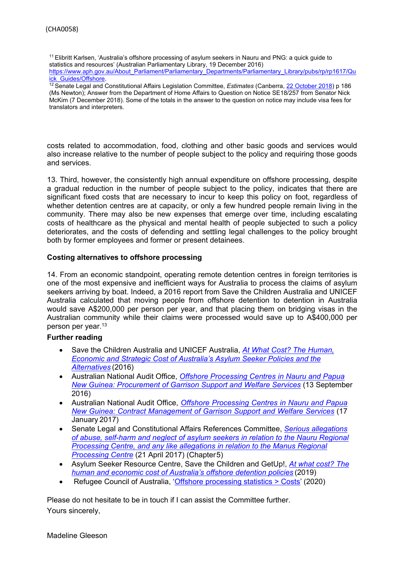<sup>11</sup> Elibritt Karlsen, 'Australia's offshore processing of asylum seekers in Nauru and PNG: a quick guide to statistics and resources' (Australian Parliamentary Library, 19 December 2016) https:/[/www.aph.gov.au/About\\_Parliament/Parliamentary\\_Departments/Parliamentary\\_Library/pubs/rp/rp1617/Qu](http://www.aph.gov.au/About_Parliament/Parliamentary_Departments/Parliamentary_Library/pubs/rp/rp1617/Qu) ick Guides/Offshore.

<sup>12</sup> Senate Legal and Constitutional Affairs Legislation Committee, *Estimates* (Canberra, 22 October 2018) p 186 (Ms Newton); Answer from the Department of Home Affairs to Question on Notice SE18/257 from Senator Nick McKim (7 December 2018). Some of the totals in the answer to the question on notice may include visa fees for translators and interpreters.

costs related to accommodation, food, clothing and other basic goods and services would also increase relative to the number of people subject to the policy and requiring those goods and services.

13. Third, however, the consistently high annual expenditure on offshore processing, despite a gradual reduction in the number of people subject to the policy, indicates that there are significant fixed costs that are necessary to incur to keep this policy on foot, regardless of whether detention centres are at capacity, or only a few hundred people remain living in the community. There may also be new expenses that emerge over time, including escalating costs of healthcare as the physical and mental health of people subjected to such a policy deteriorates, and the costs of defending and settling legal challenges to the policy brought both by former employees and former or present detainees.

### **Costing alternatives to offshore processing**

14. From an economic standpoint, operating remote detention centres in foreign territories is one of the most expensive and inefficient ways for Australia to process the claims of asylum seekers arriving by boat. Indeed, a 2016 report from Save the Children Australia and UNICEF Australia calculated that moving people from offshore detention to detention in Australia would save A\$200,000 per person per year, and that placing them on bridging visas in the Australian community while their claims were processed would save up to A\$400,000 per person per year.<sup>13</sup>

# **Further reading**

- Save the Children Australia and UNICEF Australia, *At What Cost? The Human, Economic and Strategic Cost of Australia's Asylum Seeker Policies and the Alternatives* (2016)
- Australian National Audit Office, *Offshore Processing Centres in Nauru and Papua New Guinea: Procurement of Garrison Support and Welfare Services* (13 September 2016)
- Australian National Audit Office, *Offshore Processing Centres in Nauru and Papua New Guinea: Contract Management of Garrison Support and Welfare Services* (17 January 2017)
- Senate Legal and Constitutional Affairs References Committee, *Serious allegations of abuse, self-harm and neglect of asylum seekers in relation to the Nauru Regional Processing Centre, and any like allegations in relation to the Manus Regional Processing Centre* (21 April 2017) (Chapter5)
- Asylum Seeker Resource Centre, Save the Children and GetUp!, *At what cost? The human and economic cost of Australia's offshore detention policies* (2019)
- Refugee Council of Australia, 'Offshore processing statistics > Costs' (2020)

Please do not hesitate to be in touch if I can assist the Committee further. Yours sincerely,

Madeline Gleeson